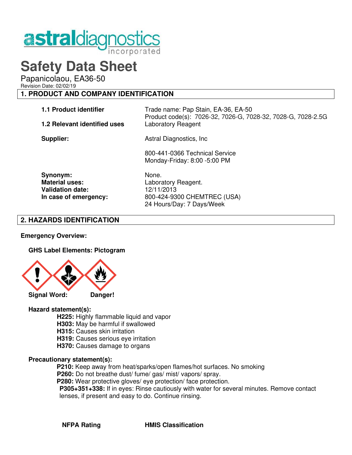

# **Safety Data Sheet**

Papanicolaou, EA36-50

Revision Date: 02/02/19

# **1. PRODUCT AND COMPANY IDENTIFICATION**

| <b>1.1 Product identifier</b>                                                         | Trade name: Pap Stain, EA-36, EA-50<br>Product code(s): 7026-32, 7026-G, 7028-32, 7028-G, 7028-2.5G    |
|---------------------------------------------------------------------------------------|--------------------------------------------------------------------------------------------------------|
| 1.2 Relevant identified uses                                                          | Laboratory Reagent                                                                                     |
| Supplier:                                                                             | Astral Diagnostics, Inc.                                                                               |
|                                                                                       | 800-441-0366 Technical Service<br>Monday-Friday: 8:00 -5:00 PM                                         |
| Synonym:<br><b>Material uses:</b><br><b>Validation date:</b><br>In case of emergency: | None.<br>Laboratory Reagent.<br>12/11/2013<br>800-424-9300 CHEMTREC (USA)<br>24 Hours/Day: 7 Days/Week |

# **2. HAZARDS IDENTIFICATION**

## **Emergency Overview:**

## **GHS Label Elements: Pictogram**



## **Hazard statement(s):**

- **H225:** Highly flammable liquid and vapor
- **H303:** May be harmful if swallowed
- **H315: Causes skin irritation**
- **H319:** Causes serious eye irritation
- **H370:** Causes damage to organs

## **Precautionary statement(s):**

- **P210:** Keep away from heat/sparks/open flames/hot surfaces. No smoking
- **P260:** Do not breathe dust/ fume/ gas/ mist/ vapors/ spray.
- **P280:** Wear protective gloves/ eye protection/ face protection.
- **P305+351+338:** If in eyes: Rinse cautiously with water for several minutes. Remove contact lenses, if present and easy to do. Continue rinsing.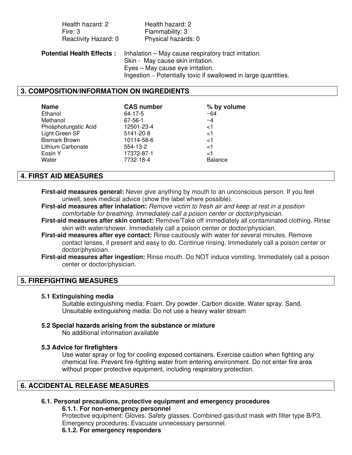| Health hazard: 2                 | Health hazard: 2                                                                                                              |
|----------------------------------|-------------------------------------------------------------------------------------------------------------------------------|
| Fire: 3                          | Flammability: 3                                                                                                               |
| Reactivity Hazard: 0             | Physical hazards: 0                                                                                                           |
| <b>Potential Health Effects:</b> | Inhalation – May cause respiratory tract irritation.<br>Skin - May cause skin irritation.<br>Eyes - May cause eye irritation. |
|                                  | Ingestion – Potentially toxic if swallowed in large quantities.                                                               |

# **3. COMPOSITION/INFORMATION ON INGREDIENTS**

| <b>Name</b>          | <b>CAS number</b> | % by volume    |
|----------------------|-------------------|----------------|
| Ethanol              | 64-17-5           | $~10-64$       |
| Methanol             | 67-56-1           | $\sim$ 4       |
| Phosphotungstic Acid | 12501-23-4        | $<$ 1          |
| Light Green SF       | 5141-20-8         | $<$ 1          |
| <b>Bismark Brown</b> | 10114-58-6        | $<$ 1          |
| Lithium Carbonate    | 554-13-2          | ا>             |
| Eosin Y              | 17372-87-1        | ا>             |
| Water                | 7732-18-4         | <b>Balance</b> |
|                      |                   |                |

# **4. FIRST AID MEASURES**

**First-aid measures general:** Never give anything by mouth to an unconscious person. If you feel unwell, seek medical advice (show the label where possible).

**First-aid measures after inhalation:** Remove victim to fresh air and keep at rest in a position comfortable for breathing. Immediately call a poison center or doctor/physician.

**First-aid measures after skin contact:** Remove/Take off immediately all contaminated clothing. Rinse skin with water/shower. Immediately call a poison center or doctor/physician.

**First-aid measures after eye contact:** Rinse cautiously with water for several minutes. Remove contact lenses, if present and easy to do. Continue rinsing. Immediately call a poison center or doctor/physician.

**First-aid measures after ingestion:** Rinse mouth. Do NOT induce vomiting. Immediately call a poison center or doctor/physician.

## **5. FIREFIGHTING MEASURES**

## **5.1 Extinguishing media**

 Suitable extinguishing media: Foam. Dry powder. Carbon dioxide. Water spray. Sand. Unsuitable extinguishing media: Do not use a heavy water stream

## **5.2 Special hazards arising from the substance or mixture**

No additional information available

## **5.3 Advice for firefighters**

Use water spray or fog for cooling exposed containers. Exercise caution when fighting any chemical fire. Prevent fire-fighting water from entering environment. Do not enter fire area without proper protective equipment, including respiratory protection.

# **6. ACCIDENTAL RELEASE MEASURES**

#### **6.1. Personal precautions, protective equipment and emergency procedures 6.1.1. For non-emergency personnel**

 Protective equipment: Gloves. Safety glasses. Combined gas/dust mask with filter type B/P3. Emergency procedures: Evacuate unnecessary personnel.

## **6.1.2. For emergency responders**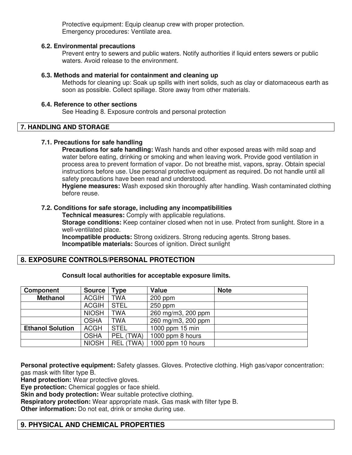Protective equipment: Equip cleanup crew with proper protection. Emergency procedures: Ventilate area.

## **6.2. Environmental precautions**

Prevent entry to sewers and public waters. Notify authorities if liquid enters sewers or public waters. Avoid release to the environment.

## **6.3. Methods and material for containment and cleaning up**

Methods for cleaning up: Soak up spills with inert solids, such as clay or diatomaceous earth as soon as possible. Collect spillage. Store away from other materials.

## **6.4. Reference to other sections**

See Heading 8. Exposure controls and personal protection

# **7. HANDLING AND STORAGE**

## **7.1. Precautions for safe handling**

**Precautions for safe handling:** Wash hands and other exposed areas with mild soap and water before eating, drinking or smoking and when leaving work. Provide good ventilation in process area to prevent formation of vapor. Do not breathe mist, vapors, spray. Obtain special instructions before use. Use personal protective equipment as required. Do not handle until all safety precautions have been read and understood.

**Hygiene measures:** Wash exposed skin thoroughly after handling. Wash contaminated clothing before reuse.

## **7.2. Conditions for safe storage, including any incompatibilities**

 **Technical measures:** Comply with applicable regulations.

**Storage conditions:** Keep container closed when not in use. Protect from sunlight. Store in a well-ventilated place.

 **Incompatible products:** Strong oxidizers. Strong reducing agents. Strong bases.  **Incompatible materials:** Sources of ignition. Direct sunlight

# **8. EXPOSURE CONTROLS/PERSONAL PROTECTION**

## **Consult local authorities for acceptable exposure limits.**

| <b>Component</b>        | <b>Source</b> | 'ype             | Value              | <b>Note</b> |
|-------------------------|---------------|------------------|--------------------|-------------|
| <b>Methanol</b>         | <b>ACGIH</b>  | <b>TWA</b>       | $200$ ppm          |             |
|                         | <b>ACGIH</b>  | <b>STEL</b>      | $250$ ppm          |             |
|                         | <b>NIOSH</b>  | <b>TWA</b>       | 260 mg/m3, 200 ppm |             |
|                         | <b>OSHA</b>   | <b>TWA</b>       | 260 mg/m3, 200 ppm |             |
| <b>Ethanol Solution</b> | <b>ACGH</b>   | <b>STEL</b>      | 1000 ppm 15 min    |             |
|                         | <b>OSHA</b>   | PEL (TWA)        | 1000 ppm 8 hours   |             |
|                         | <b>NIOSH</b>  | <b>REL (TWA)</b> | 1000 ppm 10 hours  |             |

**Personal protective equipment:** Safety glasses. Gloves. Protective clothing. High gas/vapor concentration: gas mask with filter type B.

**Hand protection:** Wear protective gloves.

**Eye protection:** Chemical goggles or face shield.

**Skin and body protection:** Wear suitable protective clothing.

**Respiratory protection:** Wear appropriate mask. Gas mask with filter type B.

**Other information:** Do not eat, drink or smoke during use.

# **9. PHYSICAL AND CHEMICAL PROPERTIES**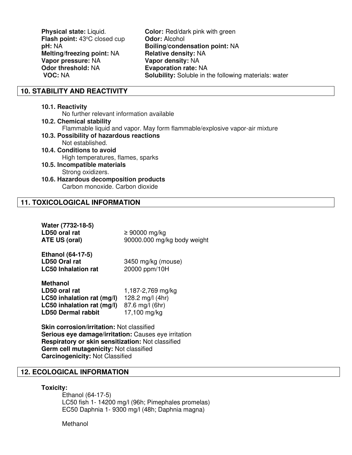**Physical state:** Liquid. **Color:** Red/dark pink with green **Flash point: 43°C closed cup Odor: Alcohol Melting/freezing point: NA <b>Relative density: NA Vapor pressure:** NA **Vapor density:** NA

**pH:** NA **Boiling/condensation point:** NA **Evaporation rate: NA VOC: NA Solubility:** Soluble in the following materials: water

# **10. STABILITY AND REACTIVITY**

## **10.1. Reactivity**

No further relevant information available

- **10.2. Chemical stability** Flammable liquid and vapor. May form flammable/explosive vapor-air mixture **10.3. Possibility of hazardous reactions** Not established.
- **10.4. Conditions to avoid** High temperatures, flames, sparks
- **10.5. Incompatible materials** Strong oxidizers.

## **10.6. Hazardous decomposition products** Carbon monoxide. Carbon dioxide

# **11. TOXICOLOGICAL INFORMATION**

| Water (7732-18-5) |                             |
|-------------------|-----------------------------|
| LD50 oral rat     | $\geq 90000$ mg/kg          |
| ATE US (oral)     | 90000.000 mg/kg body weight |
|                   |                             |

| <b>Ethanol (64-17-5)</b>   |                    |
|----------------------------|--------------------|
| LD50 Oral rat              | 3450 mg/kg (mouse) |
| <b>LC50 Inhalation rat</b> | 20000 ppm/10H      |

| <b>Methanol</b>            |                   |
|----------------------------|-------------------|
| LD50 oral rat              | 1,187-2,769 mg/kg |
| LC50 inhalation rat (mg/l) | 128.2 mg/l (4hr)  |
| LC50 inhalation rat (mg/l) | 87.6 mg/l (6hr)   |
| <b>LD50 Dermal rabbit</b>  | 17,100 mg/kg      |

**Skin corrosion/irritation:** Not classified **Serious eye damage/irritation:** Causes eye irritation **Respiratory or skin sensitization:** Not classified **Germ cell mutagenicity:** Not classified **Carcinogenicity:** Not Classified

# **12. ECOLOGICAL INFORMATION**

## **Toxicity:**

Ethanol (64-17-5) LC50 fish 1- 14200 mg/l (96h; Pimephales promelas) EC50 Daphnia 1- 9300 mg/l (48h; Daphnia magna)

**Methanol**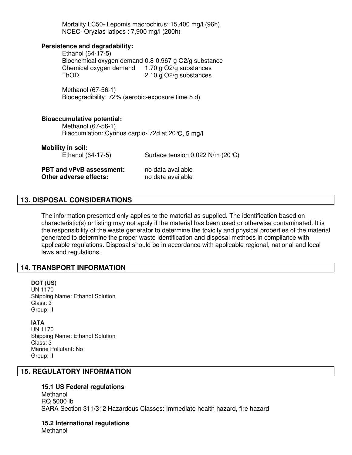Mortality LC50- Lepomis macrochirus: 15,400 mg/l (96h) NOEC- Oryzias latipes : 7,900 mg/l (200h)

## **Persistence and degradability:**

Ethanol (64-17-5) Biochemical oxygen demand 0.8-0.967 g O2/g substance Chemical oxygen demand 1.70 g O2/g substances ThOD 2.10 g O2/g substances

Methanol (67-56-1) Biodegradibility: 72% (aerobic-exposure time 5 d)

#### **Bioaccumulative potential:**

Methanol (67-56-1) Biaccumlation: Cyrinus carpio- 72d at 20°C, 5 mg/l

### **Mobility in soil:**

Ethanol  $(64-17-5)$  Surface tension  $0.022$  N/m  $(20^{\circ}C)$ 

**PBT and vPvB assessment:** no data available **Other adverse effects:** no data available

## **13. DISPOSAL CONSIDERATIONS**

The information presented only applies to the material as supplied. The identification based on characteristic(s) or listing may not apply if the material has been used or otherwise contaminated. It is the responsibility of the waste generator to determine the toxicity and physical properties of the material generated to determine the proper waste identification and disposal methods in compliance with applicable regulations. Disposal should be in accordance with applicable regional, national and local laws and regulations.

# **14. TRANSPORT INFORMATION**

# **DOT (US)**  UN 1170

Shipping Name: Ethanol Solution Class: 3 Group: II

## **IATA**

UN 1170 Shipping Name: Ethanol Solution Class: 3 Marine Pollutant: No Group: II

# **15. REGULATORY INFORMATION**

## **15.1 US Federal regulations**

Methanol RQ 5000 lb SARA Section 311/312 Hazardous Classes: Immediate health hazard, fire hazard

**15.2 International regulations** Methanol